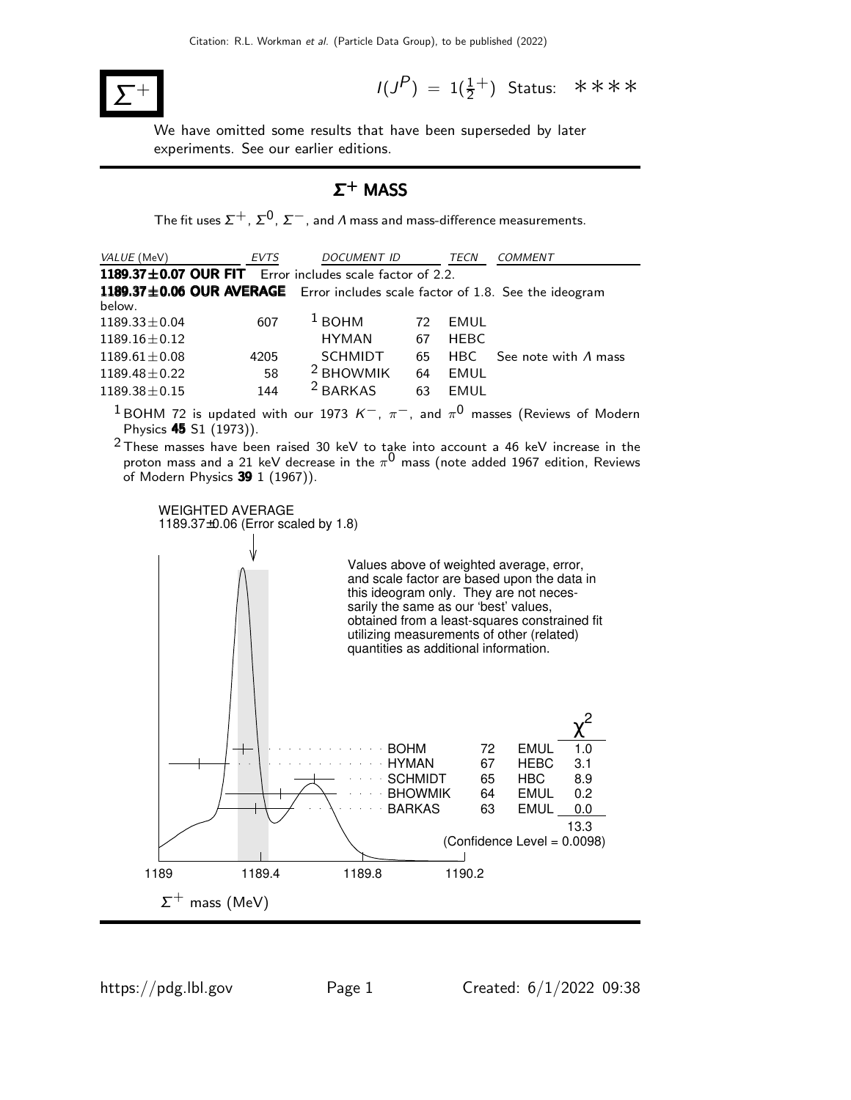

 $(P) = 1(\frac{1}{2}^+)$  Status: \*\*\*\*

We have omitted some results that have been superseded by later experiments. See our earlier editions.

# $Σ$ <sup>+</sup> MASS

The fit uses  $\Sigma^+$ ,  $\Sigma^0$ ,  $\Sigma^-$ , and  $\Lambda$  mass and mass-difference measurements.

| VALUE (MeV)        | <b>EVTS</b> | <b>DOCUMENT ID</b>                                             |    | TECN        | <b>COMMENT</b>                                                                |
|--------------------|-------------|----------------------------------------------------------------|----|-------------|-------------------------------------------------------------------------------|
|                    |             | 1189.37 $\pm$ 0.07 OUR FIT Error includes scale factor of 2.2. |    |             |                                                                               |
|                    |             |                                                                |    |             | 1189.37±0.06 OUR AVERAGE Error includes scale factor of 1.8. See the ideogram |
| below.             |             |                                                                |    |             |                                                                               |
| $1189.33 \pm 0.04$ | 607         | $1$ BOHM                                                       | 72 | EMUL        |                                                                               |
| $1189.16 \pm 0.12$ |             | <b>HYMAN</b>                                                   | 67 | <b>HEBC</b> |                                                                               |
| $1189.61 \pm 0.08$ | 4205        | <b>SCHMIDT</b>                                                 | 65 | HBC.        | See note with $\Lambda$ mass                                                  |
| $1189.48 \pm 0.22$ | 58          | <sup>2</sup> BHOWMIK                                           | 64 | EMUL        |                                                                               |
| $1189.38 \pm 0.15$ | 144         | <sup>2</sup> BARKAS                                            | 63 | EMUL        |                                                                               |

 $^1$ BOHM 72 is updated with our 1973  $\kappa^-$ ,  $\pi^-$ , and  $\pi^0$  masses (Reviews of Modern Physics 45 S1 (1973)).

 $2$ These masses have been raised 30 keV to take into account a 46 keV increase in the proton mass and a 21 keV decrease in the  $\pi^{\mathsf{0}}$  mass (note added 1967 edition, Reviews of Modern Physics 39 1 (1967)).

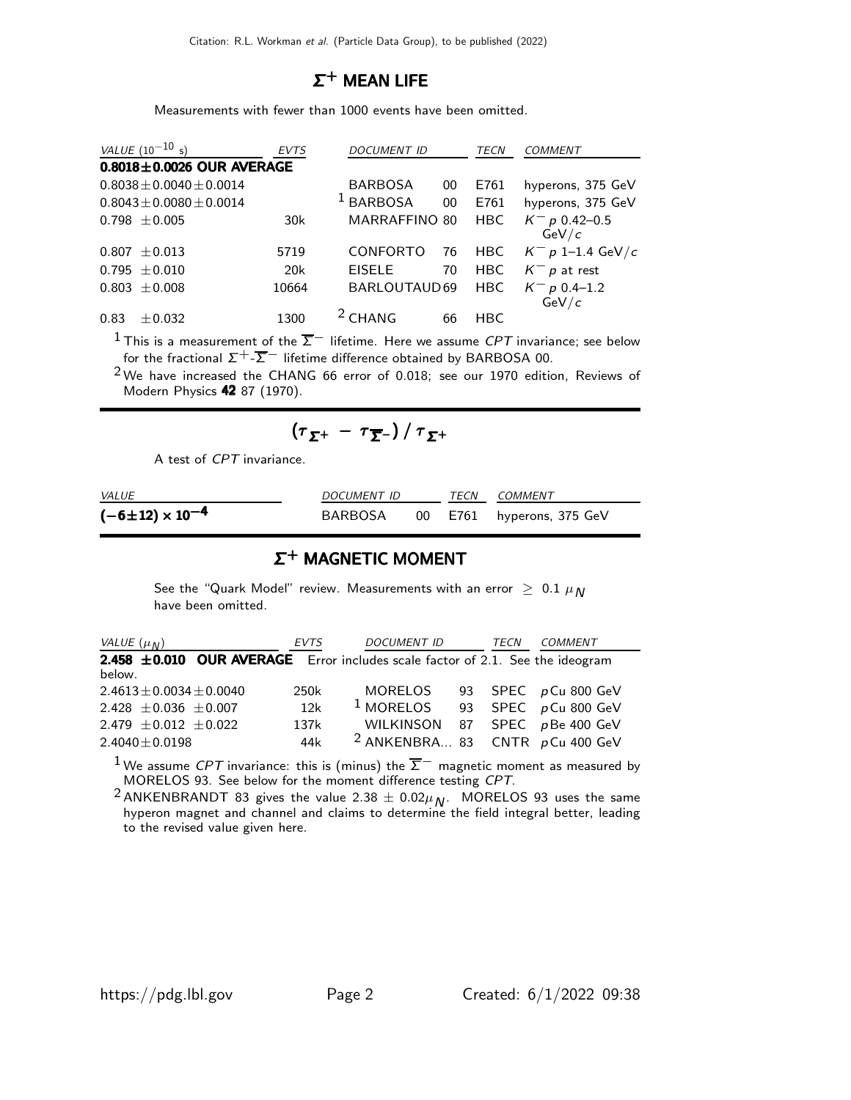# $\Sigma^+$  MEAN LIFE

Measurements with fewer than 1000 events have been omitted.

| <i>VALUE</i> $(10^{-10} s)$     | <b>EVTS</b> | DOCUMENT ID          |    | <b>TECN</b> | COMMENT                    |
|---------------------------------|-------------|----------------------|----|-------------|----------------------------|
| $0.8018 \pm 0.0026$ OUR AVERAGE |             |                      |    |             |                            |
| $0.8038 \pm 0.0040 \pm 0.0014$  |             | <b>BARBOSA</b>       | 00 | E761        | hyperons, 375 GeV          |
| $0.8043 \pm 0.0080 \pm 0.0014$  |             | <sup>1</sup> BARBOSA | 00 | E761        | hyperons, 375 GeV          |
| $0.798 \pm 0.005$               | 30k         | <b>MARRAFFINO 80</b> |    | <b>HBC</b>  | $K^-$ p 0.42–0.5<br>GeV/c  |
| $\pm 0.013$<br>0.807            | 5719        | <b>CONFORTO</b>      | 76 | <b>HBC</b>  | $K^- p 1$ -1.4 GeV/c       |
| $0.795 \pm 0.010$               | 20k         | <b>EISELE</b>        | 70 | <b>HBC</b>  | $K^- p$ at rest            |
| $0.803 \pm 0.008$               | 10664       | BARLOUTAUD69         |    | <b>HBC</b>  | $K^- p 0.4 - 1.2$<br>GeV/c |
| 0.83<br>$+0.032$                | 1300        | $2$ CHANG            | 66 | HBC         |                            |

 $^1$ This is a measurement of the  $\overline{\Sigma}^-$  lifetime. Here we assume  ${\it CPT}$  invariance; see below for the fractional  $\Sigma^{+}\text{-}\overline{\Sigma}^{-}$  lifetime difference obtained by BARBOSA 00.

 $2$ We have increased the CHANG 66 error of 0.018; see our 1970 edition, Reviews of Modern Physics 42 87 (1970).

$$
(\tau_{\Sigma^+} - \tau_{\overline{\Sigma}^-}) / \tau_{\Sigma^+}
$$

A test of CPT invariance.

| <i>VALUE</i>               | DOCUMENT ID |  | TECN COMMENT              |
|----------------------------|-------------|--|---------------------------|
| $(-6\pm12) \times 10^{-4}$ | BARBOSA     |  | 00 E761 hyperons, 375 GeV |

# $\Sigma^+$  MAGNETIC MOMENT

See the "Quark Model" review. Measurements with an error  $\geq 0.1 \mu_N$ have been omitted.

| VALUE $(\mu_N)$                                                                         | <i>EVTS</i> | <b>DOCUMENT ID</b>                           | TECN | <b>COMMENT</b>      |
|-----------------------------------------------------------------------------------------|-------------|----------------------------------------------|------|---------------------|
| 2.458 ±0.010 OUR AVERAGE Error includes scale factor of 2.1. See the ideogram<br>below. |             |                                              |      |                     |
| $2.4613 \pm 0.0034 \pm 0.0040$                                                          | 250k        | MORELOS                                      |      | 93 SPEC pCu 800 GeV |
| 2.428 $\pm$ 0.036 $\pm$ 0.007                                                           | 12k         | $1$ MORELOS                                  |      | 93 SPEC pCu 800 GeV |
| 2.479 $\pm$ 0.012 $\pm$ 0.022                                                           | 137k        | WILKINSON                                    |      | 87 SPEC pBe 400 GeV |
| $2.4040 \pm 0.0198$                                                                     | 44k         | <sup>2</sup> ANKENBRA 83 CNTR $p$ Cu 400 GeV |      |                     |

 $^1$ We assume  ${\it CPT}$  invariance: this is (minus) the  $\overline{\Sigma}^-$  magnetic moment as measured by MORELOS 93. See below for the moment difference testing CPT.

 $^2$ ANKENBRANDT 83 gives the value 2.38  $\pm$  0.02 $\mu$ <sub>N</sub>. MORELOS 93 uses the same hyperon magnet and channel and claims to determine the field integral better, leading to the revised value given here.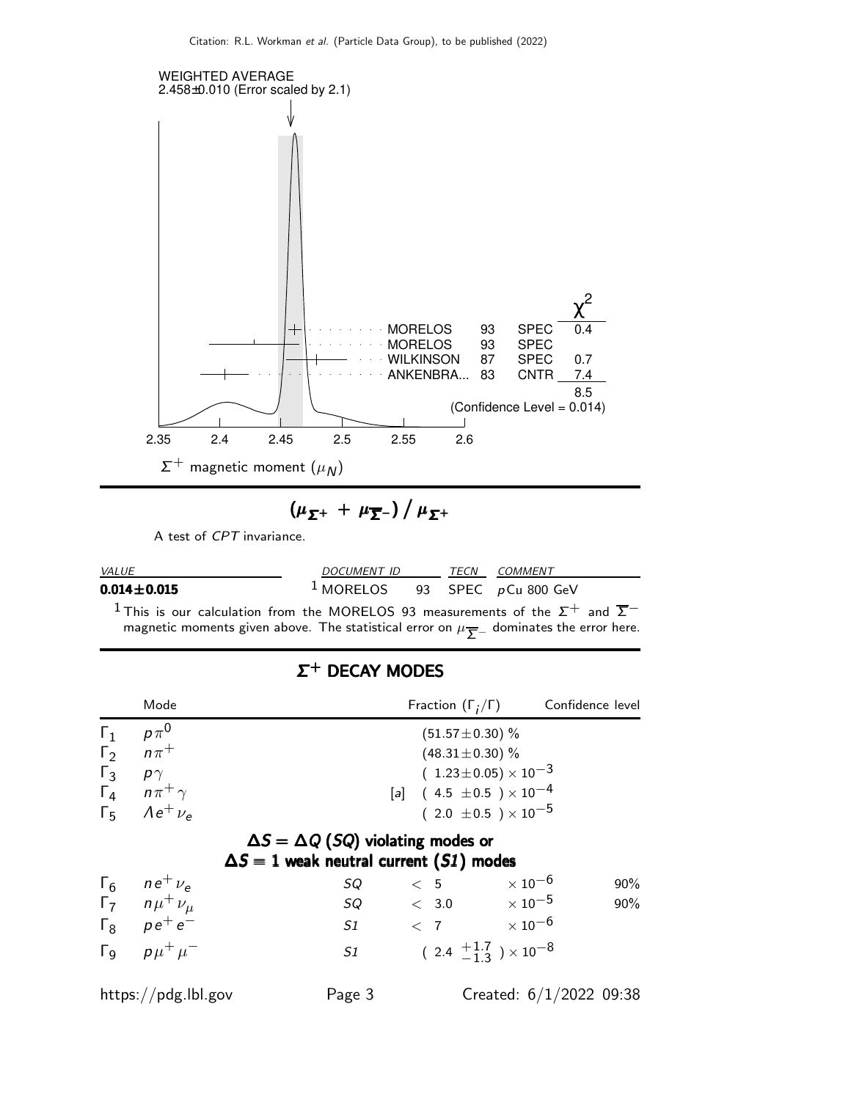

$$
(\mu_{\Sigma^+} + \mu_{\overline{\Sigma}^-}) / \mu_{\Sigma^+}
$$

A test of CPT invariance.

| <i>VALUE</i>      | <i>DOCUMENT ID</i>                 |  |  | TECN COMMENT |
|-------------------|------------------------------------|--|--|--------------|
| $0.014 \pm 0.015$ | $1$ MORELOS 93 SPEC $p$ Cu 800 GeV |  |  |              |

 $^1$ This is our calculation from the MORELOS 93 measurements of the  $\Sigma^+$  and  $\overline{\Sigma}^$ magnetic moments given above. The statistical error on  $\mu_{{{\overline{\mathcal L}}}-}$  dominates the error here.

|            | Mode                       |                                                                                                 | Fraction $(\Gamma_i/\Gamma)$ Confidence level |                                |        |
|------------|----------------------------|-------------------------------------------------------------------------------------------------|-----------------------------------------------|--------------------------------|--------|
| $\Gamma_1$ | $p\pi^0$                   |                                                                                                 | $(51.57 \pm 0.30)$ %                          |                                |        |
| $\Gamma_2$ | $n\pi^+$                   |                                                                                                 | $(48.31 \pm 0.30)$ %                          |                                |        |
| $\Gamma_3$ | $p\gamma$                  |                                                                                                 | $(1.23 \pm 0.05) \times 10^{-3}$              |                                |        |
|            | $\Gamma_4$ $n\pi^+\gamma$  |                                                                                                 | [a] $(4.5 \pm 0.5) \times 10^{-4}$            |                                |        |
|            | $\Gamma_5$ $Ae^+ \nu_e$    |                                                                                                 |                                               | $(2.0 \pm 0.5) \times 10^{-5}$ |        |
|            |                            | $\Delta S = \Delta Q$ (SQ) violating modes or<br>$\Delta S = 1$ weak neutral current (S1) modes |                                               |                                |        |
|            | $\Gamma_6$ $ne^+$ $\nu_e$  | SQ                                                                                              | < 5                                           | $\times$ 10 $^{-6}$            | $90\%$ |
|            | $\Gamma_7$ $n\mu^+\nu_\mu$ | $SQ \qquad \qquad < 3.0 \qquad \qquad \times 10^{-5}$                                           |                                               |                                | 90%    |
|            | $\Gamma_8$ $\rho e^+ e^-$  | S1                                                                                              | $<$ 7 $\times10^{-6}$                         |                                |        |
|            | $\Gamma_9$ $p\mu^+\mu^-$   | S1                                                                                              | $(2.4 \frac{+1.7}{-1.3}) \times 10^{-8}$      |                                |        |
|            | https://pdg.lbl.gov        | Page 3                                                                                          |                                               | Created: $6/1/2022$ 09:38      |        |

# Σ <sup>+</sup> DECAY MODES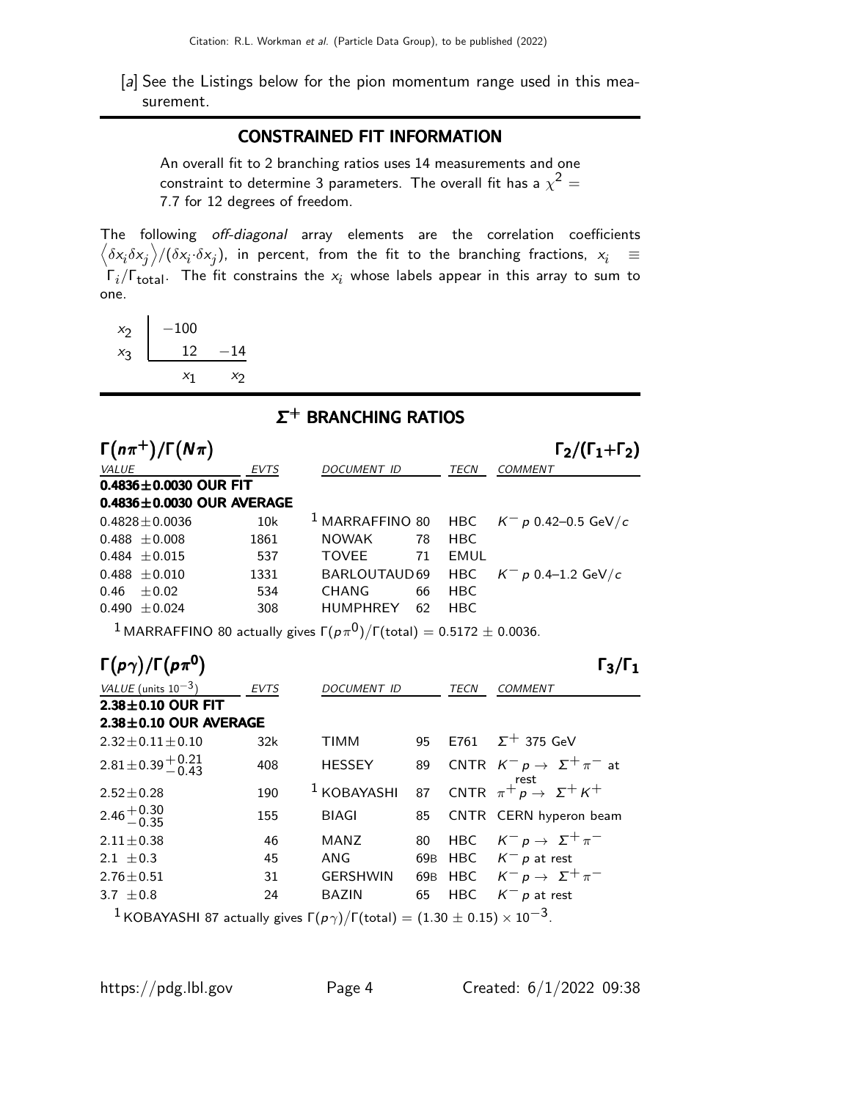[a] See the Listings below for the pion momentum range used in this measurement.

### CONSTRAINED FIT INFORMATION

An overall fit to 2 branching ratios uses 14 measurements and one constraint to determine 3 parameters. The overall fit has a  $\chi^2 =$ 7.7 for 12 degrees of freedom.

The following off-diagonal array elements are the correlation coefficients  $\left<\delta x_i\delta x_j\right>$ / $(\delta x_i\cdot\delta x_j)$ , in percent, from the fit to the branching fractions,  $x_i$   $\;\equiv$  $\mathsf{\Gamma}_i/\mathsf{\Gamma}_{\mathsf{total}}$ . The fit constrains the  $\mathsf{x}_i$  whose labels appear in this array to sum to one.

 $\begin{array}{c|c} x_2 & -100 \\ x_3 & 12 \end{array}$  $x_3$  $-14$  $x_1$  $x_2$ 

 $\sim$ 

# Σ <sup>+</sup> BRANCHING RATIOS

|              | $\Gamma(n\pi^+)/\Gamma(N\pi)$ |                                 |                    |    |             | $\Gamma_2/(\Gamma_1+\Gamma_2)$                        |
|--------------|-------------------------------|---------------------------------|--------------------|----|-------------|-------------------------------------------------------|
| <i>VALUE</i> |                               | <b>EVTS</b>                     | <b>DOCUMENT ID</b> |    | <b>TECN</b> | <b>COMMENT</b>                                        |
|              | 0.4836 $\pm$ 0.0030 OUR FIT   |                                 |                    |    |             |                                                       |
|              |                               | $0.4836 \pm 0.0030$ OUR AVERAGE |                    |    |             |                                                       |
|              | $0.4828 \pm 0.0036$           | 10k                             |                    |    |             | <sup>1</sup> MARRAFFINO 80 HBC $K^- p$ 0.42-0.5 GeV/c |
|              | $0.488 \pm 0.008$             | 1861                            | <b>NOWAK</b>       | 78 | HBC.        |                                                       |
|              | $0.484 \pm 0.015$             | 537                             | <b>TOVEE</b>       | 71 | EMUL        |                                                       |
|              | $0.488 \pm 0.010$             | 1331                            | BARLOUTAUD 69      |    | HBC         | $K^- p$ 0.4–1.2 GeV/c                                 |
|              | $0.46 \pm 0.02$               | 534                             | <b>CHANG</b>       | 66 | HBC.        |                                                       |
|              | $0.490 \pm 0.024$             | 308                             | <b>HUMPHREY</b>    | 62 | HBC.        |                                                       |
|              |                               |                                 |                    |    |             |                                                       |

 $^1$ MARRAFFINO 80 actually gives  $\Gamma(p \pi^{\mathrm{O}})/\Gamma(\mathrm{total}) = 0.5172 \pm 0.0036.$ 

| $\Gamma(p\gamma)/\Gamma(p\pi^0)$                                                                                     |             |                 |    |            | $\Gamma_3/\Gamma_1$                        |
|----------------------------------------------------------------------------------------------------------------------|-------------|-----------------|----|------------|--------------------------------------------|
| VALUE (units $10^{-3}$ )                                                                                             | <b>EVTS</b> | DOCUMENT ID     |    | TECN       | <b>COMMENT</b>                             |
| $2.38 \pm 0.10$ OUR FIT                                                                                              |             |                 |    |            |                                            |
| $2.38 \pm 0.10$ OUR AVERAGE                                                                                          |             |                 |    |            |                                            |
| $2.32 \pm 0.11 \pm 0.10$                                                                                             | 32k         | TIMM            |    |            | 95 E761 $\Sigma^+$ 375 GeV                 |
| $2.81 \pm 0.39 \pm 0.21$                                                                                             | 408         | <b>HESSEY</b>   | 89 |            | CNTR $K^- p \rightarrow \Sigma^+ \pi^-$ at |
| $2.52 \pm 0.28$                                                                                                      | 190         | $1$ KOBAYASHI   |    |            | 87 CNTR $\pi^+ p \rightarrow \Sigma^+ K^+$ |
| $2.46 + 0.30$<br>-0.35                                                                                               | 155         | <b>BIAGI</b>    | 85 |            | CNTR CERN hyperon beam                     |
| $2.11 \pm 0.38$                                                                                                      | 46          | <b>MANZ</b>     | 80 |            | HBC $K^- p \rightarrow \Sigma^+ \pi^-$     |
| 2.1 $\pm$ 0.3                                                                                                        | 45          | ANG             |    | 69B HBC    | $K^ p$ at rest                             |
| $2.76 \pm 0.51$                                                                                                      | 31          | <b>GERSHWIN</b> |    |            | 69B HBC $K^- p \rightarrow \Sigma^+ \pi^-$ |
| 3.7 $\pm$ 0.8                                                                                                        | 24          | <b>BAZIN</b>    | 65 | <b>HBC</b> | $K^-$ p at rest                            |
| <sup>1</sup> KOBAYASHI 87 actually gives $\Gamma(p\gamma)/\Gamma(\mathrm{total}) = (1.30 \pm 0.15) \times 10^{-3}$ . |             |                 |    |            |                                            |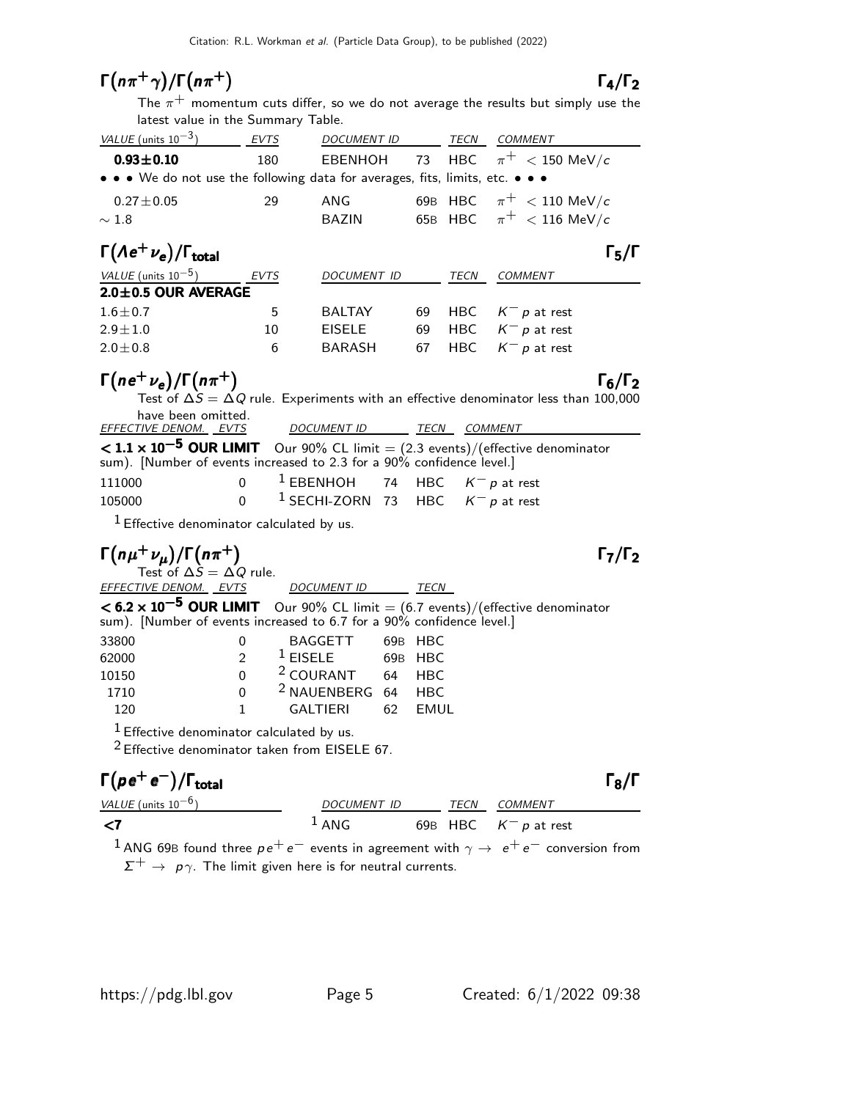# $\Gamma(n\pi^+\gamma)/\Gamma(n\pi^+)$   $\Gamma_4/\Gamma_2$

 $\frac{1+\gamma}{\Gamma(n\pi^+)}$  **F**<sub>4</sub>/**F**<sub>2</sub><br>The  $\pi^+$  momentum cuts differ, so we do not average the results but simply use the latest value in the Summary Table.

| VALUE (units $10^{-3}$ )                                                      | <b>EVTS</b> | <b>DOCUMENT ID</b> |    | TECN       | COMMENT                            |
|-------------------------------------------------------------------------------|-------------|--------------------|----|------------|------------------------------------|
| $0.93 \pm 0.10$                                                               | 180         |                    |    |            | EBENHOH 73 HBC $\pi^+$ < 150 MeV/c |
| • • • We do not use the following data for averages, fits, limits, etc. • • • |             |                    |    |            |                                    |
| $0.27 \pm 0.05$                                                               | 29          | ANG                |    |            | 69B HBC $\pi^+$ < 110 MeV/c        |
| $\sim 1.8$                                                                    |             | <b>BAZIN</b>       |    |            | 65B HBC $\pi^+$ < 116 MeV/c        |
| $\Gamma(\Lambda e^+ \nu_e)/\Gamma_{\rm total}$                                |             |                    |    |            | $\Gamma_5/\Gamma$                  |
| VALUE (units $10^{-5}$ )                                                      | <b>EVTS</b> | DOCUMENT ID        |    | TECN       | COMMENT                            |
| $2.0 \pm 0.5$ OUR AVERAGE                                                     |             |                    |    |            |                                    |
| $1.6 \pm 0.7$                                                                 | 5           | <b>BALTAY</b>      | 69 | <b>HBC</b> | $K^-$ p at rest                    |

# $\Gamma(n e^+ \nu_e)/\Gamma(n \pi^+)$  Γ<sub>6</sub>/Γ<sub>2</sub>

| $1(ne' \nu_e)/1(n\pi')$                                               |          |                                                |  | 16/12                                                                                           |  |
|-----------------------------------------------------------------------|----------|------------------------------------------------|--|-------------------------------------------------------------------------------------------------|--|
|                                                                       |          |                                                |  | Test of $\Delta S = \Delta Q$ rule. Experiments with an effective denominator less than 100,000 |  |
| have been omitted.                                                    |          |                                                |  |                                                                                                 |  |
| <u>EFFECTIVE DENOM. EVTS</u>                                          |          | DOCUMENT ID TECN                               |  | COMMENT                                                                                         |  |
| sum). [Number of events increased to 2.3 for a 90% confidence level.] |          |                                                |  | < 1.1 × 10 <sup>−5</sup> OUR LIMIT Our 90% CL limit = (2.3 events)/(effective denominator       |  |
| 111000                                                                |          | 0 <sup>1</sup> EBENHOH 74 HBC $K^- p$ at rest  |  |                                                                                                 |  |
| 105000                                                                | $\Omega$ | <sup>1</sup> SECHI-ZORN 73 HBC $K^- p$ at rest |  |                                                                                                 |  |
| $1$ Effective depening to calculated by us.                           |          |                                                |  |                                                                                                 |  |

 $2.9 \pm 1.0$  10 EISELE 69 HBC K<sup>-</sup> p at rest  $2.0 \pm 0.8$  6 BARASH 67 HBC  $K^-$  p at rest

Effective denominator calculated by us.

# $\Gamma(n\mu^+\nu_\mu)/\Gamma(n\pi^+)$   $\Gamma_7/\Gamma_2$   $\Gamma_8$

| $1531$ VI $\Delta y - \Delta y$ Tult. |                    |  |
|---------------------------------------|--------------------|--|
| <i>EFFECTIVE DENOM. EVTS</i>          | <b>DOCUMENT ID</b> |  |
|                                       |                    |  |

| <6.2 x 10 <sup>-5</sup> OUR LIMIT Our 90% CL limit = $(6.7 \text{ events})/(\text{effective denominator}$ |  |
|-----------------------------------------------------------------------------------------------------------|--|
| sum). [Number of events increased to 6.7 for a 90% confidence level.]                                     |  |

 $TECN$ 

| 33800 |                | BAGGETT                       |     | 69B HBC |
|-------|----------------|-------------------------------|-----|---------|
| 62000 | $\mathcal{D}$  | $1$ EISELE                    |     | 69B HBC |
| 10150 | $\Omega$       | <sup>2</sup> COURANT          |     | 64 HBC  |
| 1710  | $\Omega$       | <sup>2</sup> NAUENBERG 64 HBC |     |         |
| 120   | $\overline{1}$ | GAI TIFRI                     | 62. | FMUL    |

 $<sup>1</sup>$  Effective denominator calculated by us.</sup>

2 Effective denominator taken from EISELE 67.

# $\Gamma(\rho e^+e^-)/\Gamma_{\rm total}$  Γ<sub>8</sub>/Γ

| VALUE (units $10^{-6}$ ) |          | <i>DOCUMENT ID</i> |  | <i>TECN COMMENT</i>     |  |
|--------------------------|----------|--------------------|--|-------------------------|--|
| — <7                     | $^1$ ANG |                    |  | 69B HBC $K^- p$ at rest |  |
|                          |          |                    |  |                         |  |

<sup>1</sup> ANG 69B found three  $p e^+ e^-$  events in agreement with  $\gamma \rightarrow e^+ e^-$  conversion from  $\Sigma^+ \rightarrow \rho \gamma$ . The limit given here is for neutral currents.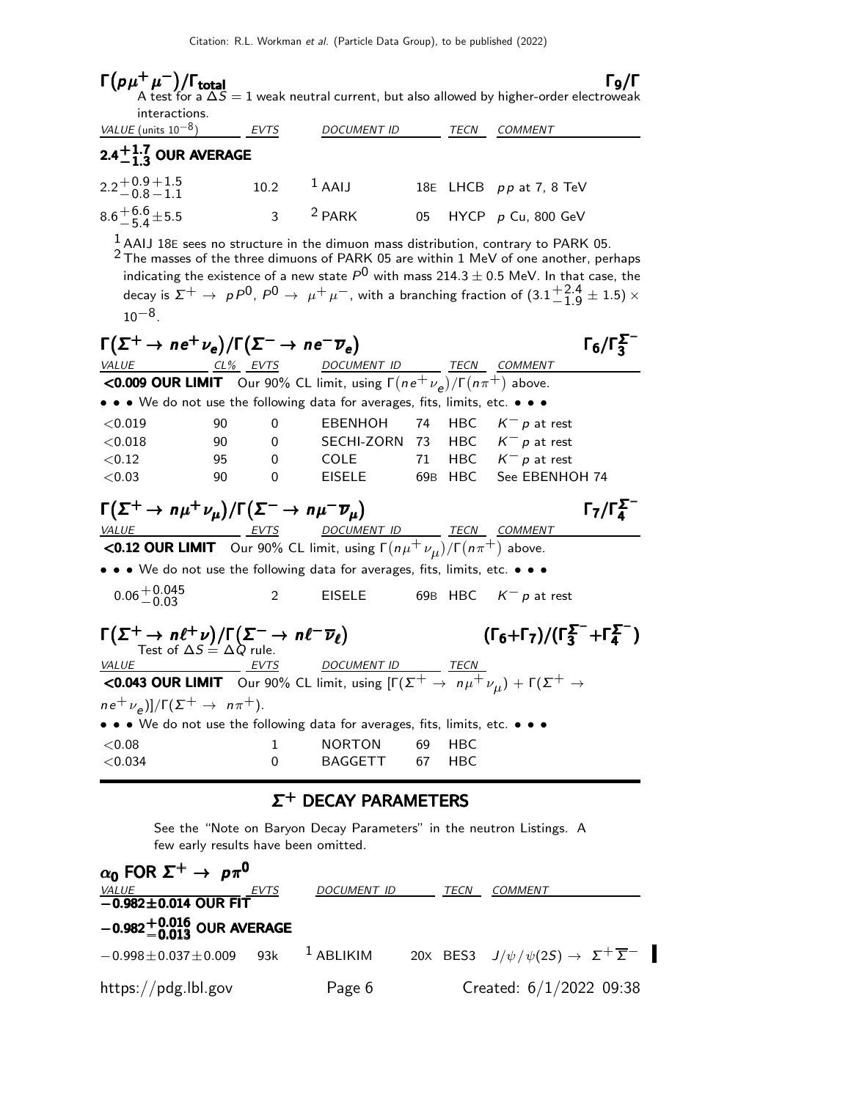| $\Gamma(\rho\mu^+\mu^-)/\Gamma_{\rm total}$                                                                                                 |                                                                                                                                                                                                                                                                                                                                                                                                                 |                                      |                                                                           |    |            | $\Gamma$ 9/Г<br>A test for a $\Delta S = 1$ weak neutral current, but also allowed by higher-order electroweak |  |
|---------------------------------------------------------------------------------------------------------------------------------------------|-----------------------------------------------------------------------------------------------------------------------------------------------------------------------------------------------------------------------------------------------------------------------------------------------------------------------------------------------------------------------------------------------------------------|--------------------------------------|---------------------------------------------------------------------------|----|------------|----------------------------------------------------------------------------------------------------------------|--|
| interactions.                                                                                                                               |                                                                                                                                                                                                                                                                                                                                                                                                                 |                                      |                                                                           |    |            |                                                                                                                |  |
| VALUE (units $10^{-8}$ )                                                                                                                    | EVTS                                                                                                                                                                                                                                                                                                                                                                                                            |                                      | <b>DOCUMENT ID</b>                                                        |    | TECN       | <b>COMMENT</b>                                                                                                 |  |
| $2.4^{+1.7}_{-1.3}$ OUR AVERAGE                                                                                                             |                                                                                                                                                                                                                                                                                                                                                                                                                 |                                      |                                                                           |    |            |                                                                                                                |  |
| $2.2 + 0.9 + 1.5$<br>$-0.8 - 1.1$                                                                                                           |                                                                                                                                                                                                                                                                                                                                                                                                                 | 10.2                                 | $1$ AAIJ                                                                  |    |            | 18E LHCB pp at 7, 8 TeV                                                                                        |  |
| $8.6^{+6.6}_{-5.4}$ ± 5.5                                                                                                                   |                                                                                                                                                                                                                                                                                                                                                                                                                 | 3 $^2$ PARK                          |                                                                           | 05 |            | HYCP $p$ Cu, 800 GeV                                                                                           |  |
| $10^{-8}$ .                                                                                                                                 | $^1$ AAIJ 18E sees no structure in the dimuon mass distribution, contrary to PARK 05.<br>$2$ The masses of the three dimuons of PARK 05 are within 1 MeV of one another, perhaps<br>indicating the existence of a new state $P^0$ with mass 214.3 $\pm$ 0.5 MeV. In that case, the<br>decay is $\Sigma^+ \to pP^0$ , $P^0 \to \mu^+\mu^-$ , with a branching fraction of $(3.1\frac{+2.4}{-1.9}\pm 1.5) \times$ |                                      |                                                                           |    |            |                                                                                                                |  |
| $\Gamma(\Sigma^+ \to n e^+ \nu_e)/\Gamma(\Sigma^- \to n e^- \overline{\nu}_e)$                                                              |                                                                                                                                                                                                                                                                                                                                                                                                                 |                                      |                                                                           |    |            | $\Gamma_6/\Gamma_3^2$                                                                                          |  |
| VALUE CL% EVTS<br><b>&lt;0.009 OUR LIMIT</b> Our 90% CL limit, using $\Gamma(n e^+ \nu_e)/\Gamma(n \pi^+)$ above.                           |                                                                                                                                                                                                                                                                                                                                                                                                                 |                                      | DOCUMENT ID _______ TECN COMMENT                                          |    |            |                                                                                                                |  |
| • • • We do not use the following data for averages, fits, limits, etc. • • •                                                               |                                                                                                                                                                                                                                                                                                                                                                                                                 |                                      |                                                                           |    |            |                                                                                                                |  |
| < 0.019                                                                                                                                     | 90                                                                                                                                                                                                                                                                                                                                                                                                              | 0                                    | EBENHOH                                                                   | 74 | <b>HBC</b> | $\mathcal{K}^ \mathit{p}$ at rest                                                                              |  |
| < 0.018                                                                                                                                     | 90                                                                                                                                                                                                                                                                                                                                                                                                              | 0                                    | SECHI-ZORN 73                                                             |    |            | HBC $K^- p$ at rest                                                                                            |  |
| < 0.12                                                                                                                                      | 95                                                                                                                                                                                                                                                                                                                                                                                                              | 0                                    | COLE                                                                      | 71 |            | HBC $K^- p$ at rest                                                                                            |  |
| < 0.03                                                                                                                                      | 90                                                                                                                                                                                                                                                                                                                                                                                                              | 0                                    | <b>EISELE</b>                                                             |    | 69B HBC    | See EBENHOH 74                                                                                                 |  |
| $\Gamma(\Sigma^+ \to n\mu^+\nu_\mu)/\Gamma(\Sigma^- \to n\mu^-\overline{\nu}_\mu)$                                                          |                                                                                                                                                                                                                                                                                                                                                                                                                 |                                      | DOCUMENT ID _______ TECN __ COMMENT                                       |    |            | $\Gamma_7/\Gamma_4^{\Sigma^-}$                                                                                 |  |
| <u>VALUE EVTS</u> DOCUMENT ID TECN COMMEN<br><b>CO.12 OUR LIMIT</b> Our 90% CL limit, using $\Gamma(n\mu^+ \nu_\mu)/\Gamma(n\pi^+)$ above.  |                                                                                                                                                                                                                                                                                                                                                                                                                 |                                      |                                                                           |    |            |                                                                                                                |  |
| • • • We do not use the following data for averages, fits, limits, etc. • • •                                                               |                                                                                                                                                                                                                                                                                                                                                                                                                 |                                      |                                                                           |    |            |                                                                                                                |  |
| $0.06 + 0.045$<br>-0.03                                                                                                                     |                                                                                                                                                                                                                                                                                                                                                                                                                 | 2                                    | <b>EISELE</b>                                                             |    | 69B HBC    | $K^- p$ at rest                                                                                                |  |
| $\Gamma(\Sigma^+ \to n\ell^+\nu)/\Gamma(\Sigma^- \to n\ell^-\overline{\nu}_\ell)$<br>Test of $\Delta S = \Delta Q$ rule.                    |                                                                                                                                                                                                                                                                                                                                                                                                                 |                                      |                                                                           |    |            | $(\Gamma_6+\Gamma_7)/(\Gamma_3^{\Sigma^-}+\Gamma_4^{\Sigma^-})$                                                |  |
| <i>VALUE</i>                                                                                                                                | <b>EVTS</b>                                                                                                                                                                                                                                                                                                                                                                                                     |                                      | DOCUMENT ID TECN                                                          |    |            |                                                                                                                |  |
| <b>CO.043 OUR LIMIT</b> Our 90% CL limit, using $[\Gamma(\Sigma^+ \rightarrow n\mu^+\nu_\mu) + \Gamma(\Sigma^+ \rightarrow n\mu^+\nu_\mu)]$ |                                                                                                                                                                                                                                                                                                                                                                                                                 |                                      |                                                                           |    |            |                                                                                                                |  |
| $ne^+\nu_e)]/\Gamma(\Sigma^+ \rightarrow n\pi^+).$                                                                                          |                                                                                                                                                                                                                                                                                                                                                                                                                 |                                      |                                                                           |    |            |                                                                                                                |  |
|                                                                                                                                             |                                                                                                                                                                                                                                                                                                                                                                                                                 |                                      | • We do not use the following data for averages, fits, limits, etc. • • • |    |            |                                                                                                                |  |
| < 0.08                                                                                                                                      |                                                                                                                                                                                                                                                                                                                                                                                                                 | 1                                    | <b>NORTON</b>                                                             | 69 | HBC        |                                                                                                                |  |
| < 0.034                                                                                                                                     |                                                                                                                                                                                                                                                                                                                                                                                                                 | 0                                    | BAGGETT                                                                   | 67 | HBC        |                                                                                                                |  |
|                                                                                                                                             |                                                                                                                                                                                                                                                                                                                                                                                                                 |                                      | $\Sigma^+$ DECAY PARAMETERS                                               |    |            |                                                                                                                |  |
|                                                                                                                                             |                                                                                                                                                                                                                                                                                                                                                                                                                 | few early results have been omitted. |                                                                           |    |            | See the "Note on Baryon Decay Parameters" in the neutron Listings. A                                           |  |

| $\alpha_0$ FOR $\Sigma^+ \rightarrow p \pi^0$ |                                          |             |  |      |                                                                         |  |  |
|-----------------------------------------------|------------------------------------------|-------------|--|------|-------------------------------------------------------------------------|--|--|
|                                               | EVTS                                     | DOCUMENT ID |  | TECN | <b>COMMENT</b>                                                          |  |  |
|                                               | $\frac{VALUE}{-0.982 \pm 0.014}$ OUR FIT |             |  |      |                                                                         |  |  |
| $-0.982^{+0.016}_{-0.013}$ OUR AVERAGE        |                                          |             |  |      |                                                                         |  |  |
| $-0.998 \pm 0.037 \pm 0.009$                  | 9.3k                                     | $1$ ABLIKIM |  |      | 20X BES3 $J/\psi/\psi(2S) \rightarrow \Sigma^{+} \overline{\Sigma}^{-}$ |  |  |
| https://pdg.lbl.gov                           |                                          | Page 6      |  |      | Created: $6/1/2022$ 09:38                                               |  |  |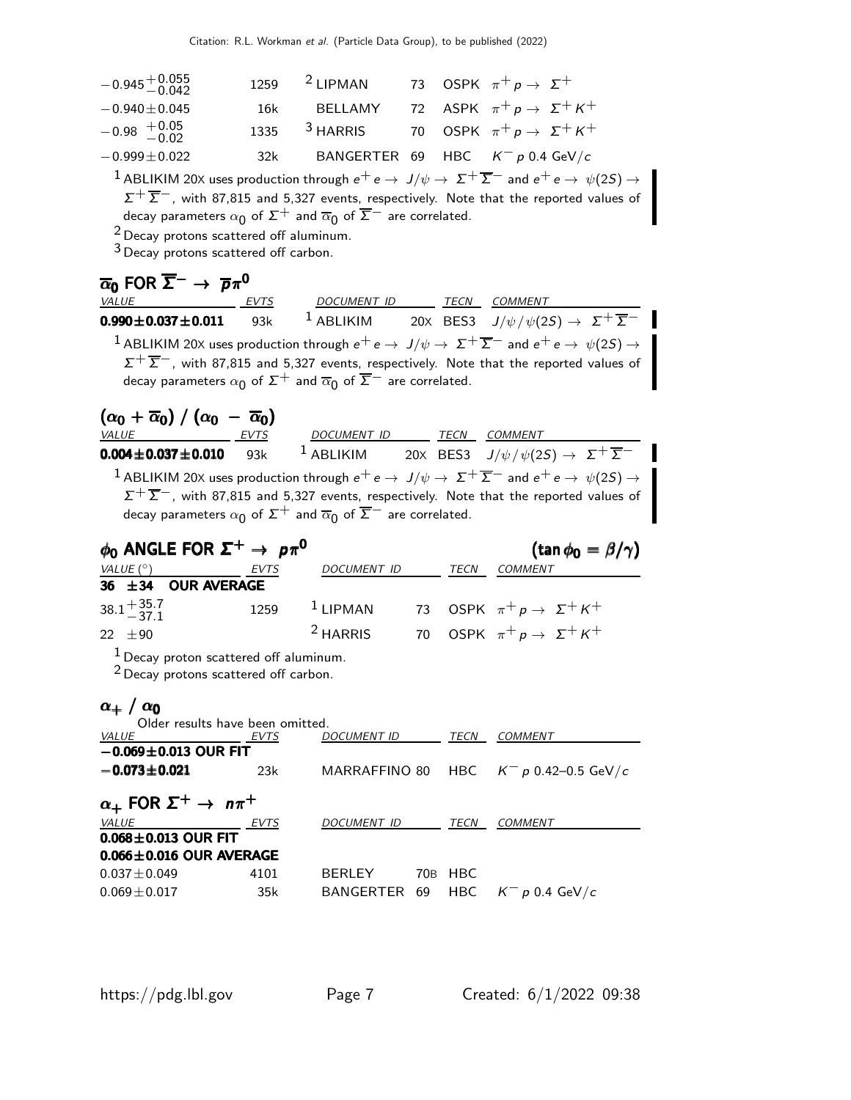| $-0.945 + 0.055$                                                                                                                                                                                     | 1259 | $2$ LIPMAN               |    |         | 73 OSPK $\pi^+ p \rightarrow \Sigma^+$                                                                                                                                                                                                           |  |  |
|------------------------------------------------------------------------------------------------------------------------------------------------------------------------------------------------------|------|--------------------------|----|---------|--------------------------------------------------------------------------------------------------------------------------------------------------------------------------------------------------------------------------------------------------|--|--|
| $-0.940 + 0.045$                                                                                                                                                                                     | 16k  | BELLAMY                  | 72 |         | ASPK $\pi^+ p \rightarrow \Sigma^+ K^+$                                                                                                                                                                                                          |  |  |
| $-0.98$ $+0.05$<br>-0.02                                                                                                                                                                             | 1335 | $3$ HARRIS               |    |         | 70 OSPK $\pi^+ p \rightarrow \Sigma^+ K^+$                                                                                                                                                                                                       |  |  |
| $-0.999 \pm 0.022$                                                                                                                                                                                   | 32k  | BANGERTER                | 69 |         | HBC $K^- p 0.4 \text{ GeV}/c$                                                                                                                                                                                                                    |  |  |
| decay parameters $\alpha_0$ of $\Sigma^+$ and $\overline{\alpha}_0$ of $\overline{\Sigma}^-$ are correlated.<br>$2$ Decay protons scattered off aluminum.<br>$3$ Decay protons scattered off carbon. |      |                          |    |         | $^{-1}$ ABLIKIM 20X uses production through $e^+e\to\ J/\psi\to\ \Sigma^+\,\overline{\Sigma}^-$ and $e^+e\to\ \psi(2S)\to\ \bot$<br>$\Sigma^+\overline{\Sigma}^-$ , with 87,815 and 5,327 events, respectively. Note that the reported values of |  |  |
| $\overline{\alpha}_0$ FOR $\overline{\Sigma}^- \to \overline{p}\pi^0$                                                                                                                                |      |                          |    |         |                                                                                                                                                                                                                                                  |  |  |
| <b>VALUE</b>                                                                                                                                                                                         | EVTS | DOCUMENT ID TECN COMMENT |    |         |                                                                                                                                                                                                                                                  |  |  |
| $0.990 \pm 0.037 \pm 0.011$                                                                                                                                                                          | 93k  |                          |    |         | <sup>1</sup> ABLIKIM 20X BES3 $J/\psi/\psi(2S) \rightarrow \Sigma^{+}\overline{\Sigma}^{-}$                                                                                                                                                      |  |  |
| decay parameters $\alpha_0$ of $\Sigma^+$ and $\overline{\alpha}_0$ of $\overline{\Sigma}^-$ are correlated.                                                                                         |      |                          |    |         | $^{-1}$ ABLIKIM 20X uses production through $e^+e\to\ J/\psi\to\ \Sigma^+\,\overline{\Sigma}^-$ and $e^+e\to\ \psi(2S)\to\ \bot$<br>$\Sigma^+\overline{\Sigma}^-$ , with 87,815 and 5,327 events, respectively. Note that the reported values of |  |  |
| $(\alpha_0 + \overline{\alpha}_0) / (\alpha_0 - \overline{\alpha}_0)$                                                                                                                                |      |                          |    |         |                                                                                                                                                                                                                                                  |  |  |
| VALUE                                                                                                                                                                                                | EVTS | DOCUMENT ID TECN COMMENT |    |         | <sup>1</sup> ABLIKIM 20X BES3 $J/\psi/\psi(2S) \rightarrow \Sigma^{+} \overline{\Sigma}^{-}$                                                                                                                                                     |  |  |
| $0.004 \pm 0.037 \pm 0.010$ 93k                                                                                                                                                                      |      |                          |    |         |                                                                                                                                                                                                                                                  |  |  |
| $^{-1}$ ABLIKIM 20X uses production through $e^+e\to\ J/\psi\to\ \Sigma^{+}\ \overline{\Sigma}^{-}$ and $e^+e\to\ \psi(2S)\to\ \bot$                                                                 |      |                          |    |         |                                                                                                                                                                                                                                                  |  |  |
|                                                                                                                                                                                                      |      |                          |    |         |                                                                                                                                                                                                                                                  |  |  |
|                                                                                                                                                                                                      |      |                          |    |         | $\Sigma^+\overline{\Sigma}^-$ , with 87,815 and 5,327 events, respectively. Note that the reported values of                                                                                                                                     |  |  |
| decay parameters $\alpha_0$ of $\Sigma^+$ and $\overline{\alpha}_0$ of $\overline{\Sigma}^-$ are correlated.                                                                                         |      |                          |    |         |                                                                                                                                                                                                                                                  |  |  |
| $\phi_0$ ANGLE FOR $\Sigma^+ \rightarrow p\pi^0$                                                                                                                                                     |      |                          |    |         | (tan $\phi_0 = \beta/\gamma$ )                                                                                                                                                                                                                   |  |  |
| VALUE $(^\circ)$                                                                                                                                                                                     | EVTS | DOCUMENT ID              |    |         | <i>TECN COMMENT</i>                                                                                                                                                                                                                              |  |  |
| <b>OUR AVERAGE</b><br>36 $\pm$ 34                                                                                                                                                                    |      |                          |    |         |                                                                                                                                                                                                                                                  |  |  |
| $38.1 + 35.7$<br>$-37.1$                                                                                                                                                                             | 1259 | $1$ LIPMAN               | 73 |         | OSPK $\pi^+$ $p \to \Sigma^+ K^+$                                                                                                                                                                                                                |  |  |
| 22 $\pm 90$                                                                                                                                                                                          |      | $2$ HARRIS               | 70 |         | OSPK $\pi^+ p \rightarrow \Sigma^+ K^+$                                                                                                                                                                                                          |  |  |
| $1$ Decay proton scattered off aluminum.                                                                                                                                                             |      |                          |    |         |                                                                                                                                                                                                                                                  |  |  |
| <sup>2</sup> Decay protons scattered off carbon.                                                                                                                                                     |      |                          |    |         |                                                                                                                                                                                                                                                  |  |  |
| $\alpha_+$ / $\alpha_0$                                                                                                                                                                              |      |                          |    |         |                                                                                                                                                                                                                                                  |  |  |
| Older results have been omitted.<br><i>VALUE</i>                                                                                                                                                     | EVTS | DOCUMENT ID TECN COMMENT |    |         |                                                                                                                                                                                                                                                  |  |  |
| $-0.069 \pm 0.013$ OUR FIT                                                                                                                                                                           |      |                          |    |         |                                                                                                                                                                                                                                                  |  |  |
| $-0.073 \pm 0.021$                                                                                                                                                                                   | 23k  | MARRAFFINO 80            |    | HBC     | $\mathcal{K}^-\,$ p 0.42–0.5 GeV/ $\mathcal{C}$                                                                                                                                                                                                  |  |  |
|                                                                                                                                                                                                      |      |                          |    |         |                                                                                                                                                                                                                                                  |  |  |
| $\alpha_+$ FOR $\Sigma^+$ $\rightarrow$ $n\pi^+$<br>VALUE                                                                                                                                            | EVTS | DOCUMENT ID TECN COMMENT |    |         |                                                                                                                                                                                                                                                  |  |  |
| $0.068 \pm 0.013$ OUR FIT                                                                                                                                                                            |      |                          |    |         |                                                                                                                                                                                                                                                  |  |  |
| $0.066 \pm 0.016$ OUR AVERAGE                                                                                                                                                                        |      |                          |    |         |                                                                                                                                                                                                                                                  |  |  |
| $0.037 \pm 0.049$                                                                                                                                                                                    | 4101 | BERLEY                   |    | 70B HBC |                                                                                                                                                                                                                                                  |  |  |
| $0.069 \pm 0.017$                                                                                                                                                                                    | 35k  | BANGERTER 69             |    | HBC     | $K^- p 0.4$ GeV/c                                                                                                                                                                                                                                |  |  |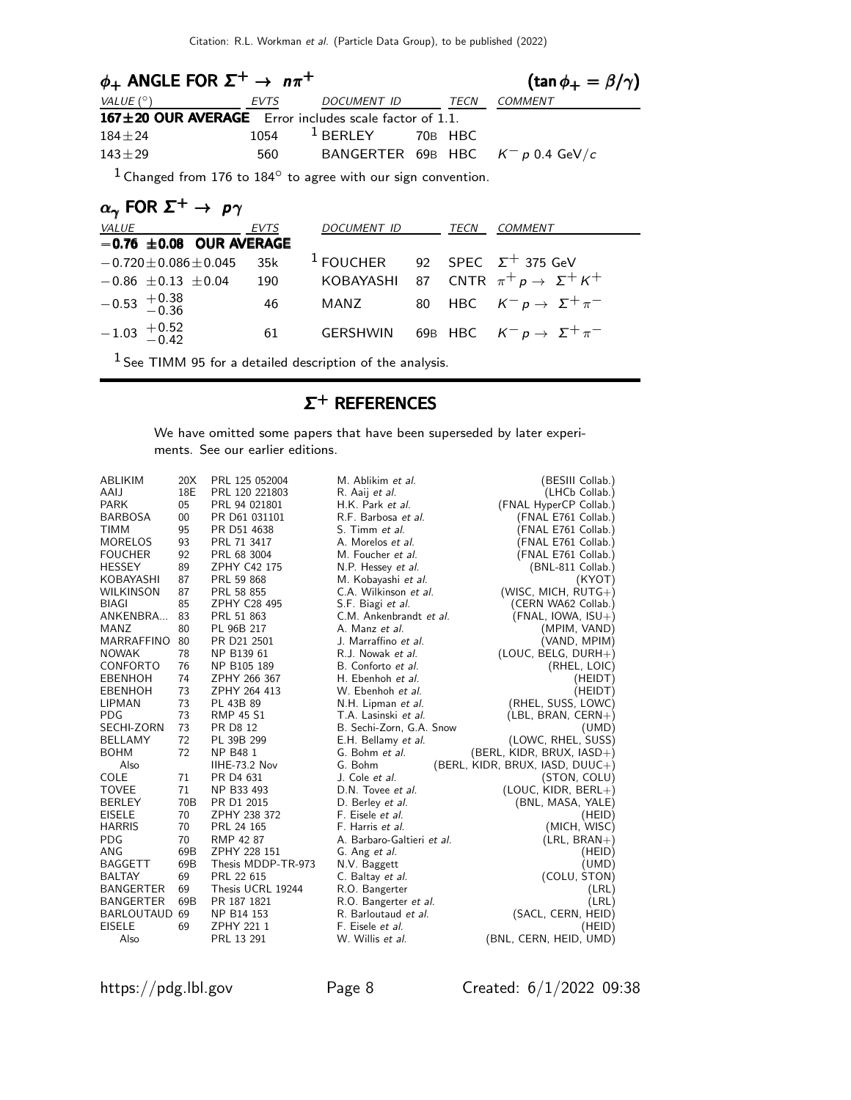| $\phi_+$ ANGLE FOR $\Sigma^+ \rightarrow n\pi^+$               |      |                           |      | $(\tan \phi_+ = \beta/\gamma)$      |  |
|----------------------------------------------------------------|------|---------------------------|------|-------------------------------------|--|
| VALUE (°)                                                      | EVTS | DOCUMENT ID               | TECN | <i>COMMENT</i>                      |  |
| 167±20 OUR AVERAGE Error includes scale factor of 1.1.         |      |                           |      |                                     |  |
| $184 + 24$                                                     |      | $1054$ $1$ BERLEY 70B HBC |      |                                     |  |
| $143 + 29$                                                     | 560  |                           |      | BANGERTER 69B HBC $K^- p$ 0.4 GeV/c |  |
| $1$ Changed from 176 to 1949 to agree with our sign convention |      |                           |      |                                     |  |

Changed from 176 to  $184^\circ$  to agree with our sign convention.

| $\alpha_{\gamma}$ FOR $\Sigma^+ \rightarrow p\gamma$ |      |     |             |      |                                                            |  |  |
|------------------------------------------------------|------|-----|-------------|------|------------------------------------------------------------|--|--|
| <b>VALUE</b>                                         | EVTS |     | DOCUMENT ID | TECN | <b>COMMENT</b>                                             |  |  |
| $-0.76 \pm 0.08$ OUR AVERAGE                         |      |     |             |      |                                                            |  |  |
| $-0.720$ $\pm$ 0.086 $\pm$ 0.045                     |      | 35k |             |      | <sup>1</sup> FOUCHER 92 SPEC $\Sigma$ <sup>+</sup> 375 GeV |  |  |
| $-0.86 \pm 0.13 \pm 0.04$                            |      | 190 |             |      | KOBAYASHI 87 CNTR $\pi^+ p \to \Sigma^+ K^+$               |  |  |
| $-0.53$ $+0.38$<br>$-0.36$                           |      | 46  | MANZ        |      | 80 HBC $K^-p \rightarrow \Sigma^+\pi^-$                    |  |  |
| $-1.03 + 0.52$<br>-0.42                              |      | 61  |             |      | GERSHWIN 69B HBC $K^- p \rightarrow \Sigma^+ \pi^-$        |  |  |

 $1$  See TIMM 95 for a detailed description of the analysis.

# $\Sigma^+$  References

We have omitted some papers that have been superseded by later experiments. See our earlier editions.

| ABLIKIM           | 20X             | PRL 125 052004     | M. Ablikim et al.          | (BESIII Collab.)                  |
|-------------------|-----------------|--------------------|----------------------------|-----------------------------------|
| AAIJ              | 18E             | PRL 120 221803     | R. Aaij et al.             | (LHCb Collab.)                    |
| <b>PARK</b>       | 05              | PRL 94 021801      | H.K. Park et al.           | (FNAL HyperCP Collab.)            |
| <b>BARBOSA</b>    | 00              | PR D61 031101      | R.F. Barbosa et al.        | (FNAL E761 Collab.)               |
| <b>TIMM</b>       | 95              | PR D51 4638        | S. Timm et al.             | (FNAL E761 Collab.)               |
| <b>MORELOS</b>    | 93              | PRL 71 3417        | A. Morelos et al.          | (FNAL E761 Collab.)               |
| <b>FOUCHER</b>    | 92              | PRL 68 3004        | M. Foucher et al.          | (FNAL E761 Collab.)               |
| <b>HESSEY</b>     | 89              | ZPHY C42 175       | N.P. Hessey et al.         | (BNL-811 Collab.)                 |
| KOBAYASHI         | 87              | PRL 59 868         | M. Kobayashi et al.        | (KYOT)                            |
| <b>WILKINSON</b>  | 87              | PRL 58 855         | C.A. Wilkinson et al.      | (WISC, MICH, $RUTG+$ )            |
| <b>BIAGI</b>      | 85              | ZPHY C28 495       | S.F. Biagi et al.          | (CERN WA62 Collab.)               |
| ANKENBRA          | 83              | PRL 51 863         | C.M. Ankenbrandt et al.    | $(FNAL, IOWA, ISU+)$              |
| <b>MANZ</b>       | 80              | PL 96B 217         | A. Manz et al.             | (MPIM, VAND)                      |
| <b>MARRAFFINO</b> | 80              | PR D21 2501        | J. Marraffino et al.       | (VAND, MPIM)                      |
| <b>NOWAK</b>      | 78              | NP B139 61         | R.J. Nowak et al.          | (LOUC, BELG, DURH+)               |
| CONFORTO          | 76              | NP B105 189        | B. Conforto et al.         | (RHEL, LOIC)                      |
| <b>EBENHOH</b>    | 74              | ZPHY 266 367       | H. Ebenhoh et al.          | (HEIDT)                           |
| <b>EBENHOH</b>    | 73              | ZPHY 264 413       | W. Ebenhoh et al.          | (HEIDT)                           |
| <b>LIPMAN</b>     | 73              | PL 43B 89          | N.H. Lipman et al.         | (RHEL, SUSS, LOWC)                |
| <b>PDG</b>        | 73              | <b>RMP 45 S1</b>   | T.A. Lasinski et al.       | $(EBL, BRAN, CERN+)$              |
| SECHI-ZORN        | 73              | <b>PR D8 12</b>    | B. Sechi-Zorn, G.A. Snow   | (UMD)                             |
| <b>BELLAMY</b>    | 72              | PL 39B 299         | E.H. Bellamy et al.        | (LOWC, RHEL, SUSS)                |
| <b>BOHM</b>       | 72              | <b>NP B481</b>     | G. Bohm et al.             | (BERL, KIDR, BRUX, IASD+)         |
| Also              |                 | IIHE-73.2 Nov      | G. Bohm                    | $(BERL, KIDR, BRUX, IASD, DUUC+)$ |
| COLE              | 71              | PR D4 631          | J. Cole et al.             | (STON, COLU)                      |
| <b>TOVEE</b>      | 71              | NP B33 493         | D.N. Tovee et al.          | $(LOUC, KIDR, BERL+)$             |
| <b>BERLEY</b>     | 70 <sub>B</sub> | PR D1 2015         | D. Berley et al.           | (BNL, MASA, YALE)                 |
| <b>EISELE</b>     | 70              | ZPHY 238 372       | F. Eisele et al.           | (HEID)                            |
| <b>HARRIS</b>     | 70              | PRL 24 165         | F. Harris et al.           | (MICH, WISC)                      |
| <b>PDG</b>        | 70              | RMP 42 87          | A. Barbaro-Galtieri et al. | $(LRL, BRAN+)$                    |
| ANG               | 69B             | ZPHY 228 151       | G. Ang et al.              | (HEID)                            |
| <b>BAGGETT</b>    | 69B             | Thesis MDDP-TR-973 | N.V. Baggett               | (UMD)                             |
| <b>BALTAY</b>     | 69              | PRL 22 615         | C. Baltay et al.           | (COLU, STON)                      |
| <b>BANGERTER</b>  | 69              | Thesis UCRL 19244  | R.O. Bangerter             | (LRL)                             |
| <b>BANGERTER</b>  | 69B             | PR 187 1821        | R.O. Bangerter et al.      | (LRL)                             |
| BARLOUTAUD 69     |                 | NP B14 153         | R. Barloutaud et al.       | (SACL, CERN, HEID)                |
| <b>EISELE</b>     | 69              | ZPHY 221 1         | F. Eisele et al.           | (HEID)                            |
| Also              |                 | PRL 13 291         | W. Willis et al.           | (BNL, CERN, HEID, UMD)            |

https://pdg.lbl.gov Page 8 Created: 6/1/2022 09:38